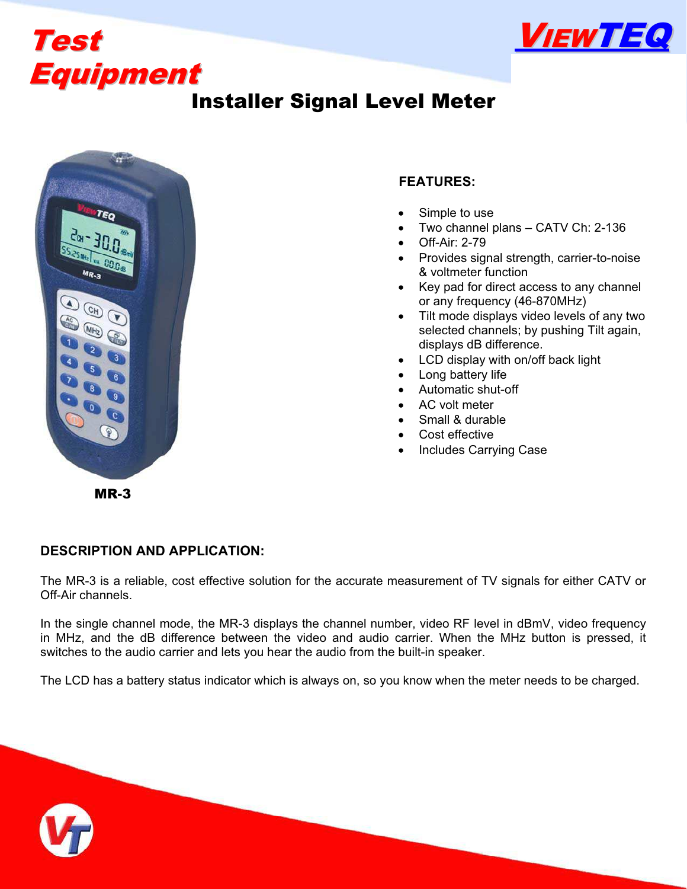



# Installer Signal Level Meter



### **FEATURES:**

- Simple to use
- Two channel plans CATV Ch: 2-136
- Off-Air: 2-79
- Provides signal strength, carrier-to-noise & voltmeter function
- Key pad for direct access to any channel or any frequency (46-870MHz)
- Tilt mode displays video levels of any two selected channels; by pushing Tilt again, displays dB difference.
- LCD display with on/off back light
- Long battery life
- Automatic shut-off
- AC volt meter
- Small & durable
- Cost effective
- Includes Carrying Case

MR-3

#### **DESCRIPTION AND APPLICATION:**

The MR-3 is a reliable, cost effective solution for the accurate measurement of TV signals for either CATV or Off-Air channels.

In the single channel mode, the MR-3 displays the channel number, video RF level in dBmV, video frequency in MHz, and the dB difference between the video and audio carrier. When the MHz button is pressed, it switches to the audio carrier and lets you hear the audio from the built-in speaker.

The LCD has a battery status indicator which is always on, so you know when the meter needs to be charged.